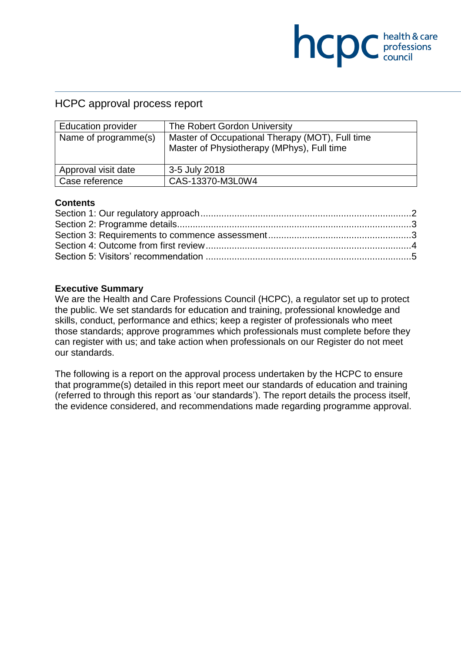## HCPC approval process report

| <b>Education provider</b> | The Robert Gordon University                    |  |
|---------------------------|-------------------------------------------------|--|
| Name of programme(s)      | Master of Occupational Therapy (MOT), Full time |  |
|                           | Master of Physiotherapy (MPhys), Full time      |  |
|                           |                                                 |  |
| Approval visit date       | 3-5 July 2018                                   |  |
| Case reference            | CAS-13370-M3L0W4                                |  |

**COC** health & care

#### **Contents**

#### **Executive Summary**

We are the Health and Care Professions Council (HCPC), a regulator set up to protect the public. We set standards for education and training, professional knowledge and skills, conduct, performance and ethics; keep a register of professionals who meet those standards; approve programmes which professionals must complete before they can register with us; and take action when professionals on our Register do not meet our standards.

The following is a report on the approval process undertaken by the HCPC to ensure that programme(s) detailed in this report meet our standards of education and training (referred to through this report as 'our standards'). The report details the process itself, the evidence considered, and recommendations made regarding programme approval.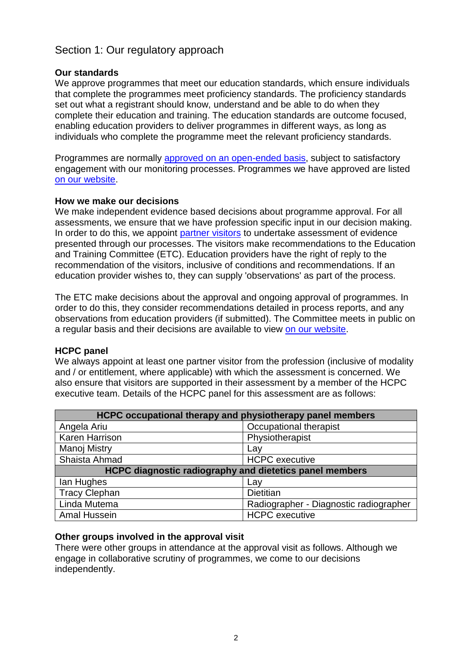# Section 1: Our regulatory approach

### **Our standards**

We approve programmes that meet our education standards, which ensure individuals that complete the programmes meet proficiency standards. The proficiency standards set out what a registrant should know, understand and be able to do when they complete their education and training. The education standards are outcome focused, enabling education providers to deliver programmes in different ways, as long as individuals who complete the programme meet the relevant proficiency standards.

Programmes are normally approved on an open-ended basis, subject to satisfactory engagement with our monitoring processes. Programmes we have approved are listed on our website.

### **How we make our decisions**

We make independent evidence based decisions about programme approval. For all assessments, we ensure that we have profession specific input in our decision making. In order to do this, we appoint partner visitors to undertake assessment of evidence presented through our processes. The visitors make recommendations to the Education and Training Committee (ETC). Education providers have the right of reply to the recommendation of the visitors, inclusive of conditions and recommendations. If an education provider wishes to, they can supply 'observations' as part of the process.

The ETC make decisions about the approval and ongoing approval of programmes. In order to do this, they consider recommendations detailed in process reports, and any observations from education providers (if submitted). The Committee meets in public on a regular basis and their decisions are available to view on our website.

### **HCPC panel**

We always appoint at least one partner visitor from the profession (inclusive of modality and / or entitlement, where applicable) with which the assessment is concerned. We also ensure that visitors are supported in their assessment by a member of the HCPC executive team. Details of the HCPC panel for this assessment are as follows:

| HCPC occupational therapy and physiotherapy panel members      |                                        |  |  |
|----------------------------------------------------------------|----------------------------------------|--|--|
| Angela Ariu                                                    | Occupational therapist                 |  |  |
| Karen Harrison                                                 | Physiotherapist                        |  |  |
| Manoj Mistry                                                   | Lay                                    |  |  |
| Shaista Ahmad                                                  | <b>HCPC</b> executive                  |  |  |
| <b>HCPC diagnostic radiography and dietetics panel members</b> |                                        |  |  |
| lan Hughes                                                     | Lay                                    |  |  |
| <b>Tracy Clephan</b>                                           | <b>Dietitian</b>                       |  |  |
| Linda Mutema                                                   | Radiographer - Diagnostic radiographer |  |  |
| Amal Hussein                                                   | <b>HCPC</b> executive                  |  |  |

### **Other groups involved in the approval visit**

There were other groups in attendance at the approval visit as follows. Although we engage in collaborative scrutiny of programmes, we come to our decisions independently.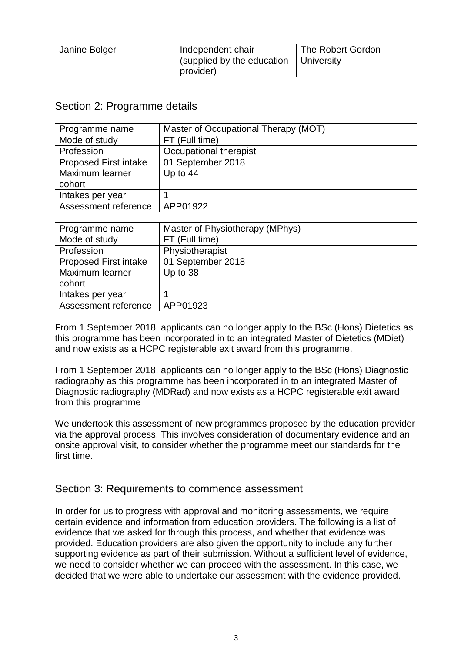| Janine Bolger | Independent chair                       | The Robert Gordon |
|---------------|-----------------------------------------|-------------------|
|               | (supplied by the education   University |                   |
|               | provider)                               |                   |

## Section 2: Programme details

| Programme name               | Master of Occupational Therapy (MOT) |
|------------------------------|--------------------------------------|
| Mode of study                | FT (Full time)                       |
| Profession                   | Occupational therapist               |
| <b>Proposed First intake</b> | 01 September 2018                    |
| Maximum learner              | Up to $44$                           |
| cohort                       |                                      |
| Intakes per year             |                                      |
| Assessment reference         | APP01922                             |

| Programme name               | Master of Physiotherapy (MPhys) |
|------------------------------|---------------------------------|
| Mode of study                | FT (Full time)                  |
| Profession                   | Physiotherapist                 |
| <b>Proposed First intake</b> | 01 September 2018               |
| Maximum learner              | Up to 38                        |
| cohort                       |                                 |
| Intakes per year             |                                 |
| Assessment reference         | APP01923                        |

From 1 September 2018, applicants can no longer apply to the BSc (Hons) Dietetics as this programme has been incorporated in to an integrated Master of Dietetics (MDiet) and now exists as a HCPC registerable exit award from this programme.

From 1 September 2018, applicants can no longer apply to the BSc (Hons) Diagnostic radiography as this programme has been incorporated in to an integrated Master of Diagnostic radiography (MDRad) and now exists as a HCPC registerable exit award from this programme

We undertook this assessment of new programmes proposed by the education provider via the approval process. This involves consideration of documentary evidence and an onsite approval visit, to consider whether the programme meet our standards for the first time.

### Section 3: Requirements to commence assessment

In order for us to progress with approval and monitoring assessments, we require certain evidence and information from education providers. The following is a list of evidence that we asked for through this process, and whether that evidence was provided. Education providers are also given the opportunity to include any further supporting evidence as part of their submission. Without a sufficient level of evidence, we need to consider whether we can proceed with the assessment. In this case, we decided that we were able to undertake our assessment with the evidence provided.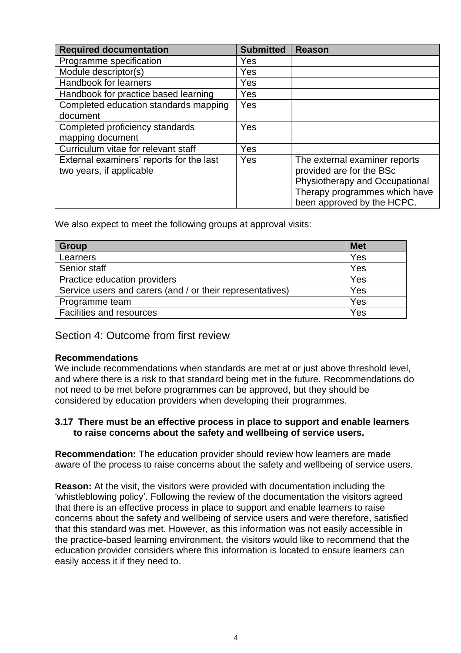| <b>Required documentation</b>            | <b>Submitted</b> | <b>Reason</b>                  |
|------------------------------------------|------------------|--------------------------------|
| Programme specification                  | Yes              |                                |
| Module descriptor(s)                     | Yes              |                                |
| Handbook for learners                    | Yes              |                                |
| Handbook for practice based learning     | Yes              |                                |
| Completed education standards mapping    | Yes              |                                |
| document                                 |                  |                                |
| Completed proficiency standards          | Yes              |                                |
| mapping document                         |                  |                                |
| Curriculum vitae for relevant staff      | Yes              |                                |
| External examiners' reports for the last | Yes              | The external examiner reports  |
| two years, if applicable                 |                  | provided are for the BSc       |
|                                          |                  | Physiotherapy and Occupational |
|                                          |                  | Therapy programmes which have  |
|                                          |                  | been approved by the HCPC.     |

We also expect to meet the following groups at approval visits:

| <b>Group</b>                                              | <b>Met</b> |
|-----------------------------------------------------------|------------|
| Learners                                                  | Yes        |
| Senior staff                                              | Yes        |
| Practice education providers                              | Yes        |
| Service users and carers (and / or their representatives) | Yes        |
| Programme team                                            | Yes        |
| <b>Facilities and resources</b>                           | Yes        |

### Section 4: Outcome from first review

#### **Recommendations**

We include recommendations when standards are met at or just above threshold level, and where there is a risk to that standard being met in the future. Recommendations do not need to be met before programmes can be approved, but they should be considered by education providers when developing their programmes.

#### **3.17 There must be an effective process in place to support and enable learners to raise concerns about the safety and wellbeing of service users.**

**Recommendation:** The education provider should review how learners are made aware of the process to raise concerns about the safety and wellbeing of service users.

**Reason:** At the visit, the visitors were provided with documentation including the 'whistleblowing policy'. Following the review of the documentation the visitors agreed that there is an effective process in place to support and enable learners to raise concerns about the safety and wellbeing of service users and were therefore, satisfied that this standard was met. However, as this information was not easily accessible in the practice-based learning environment, the visitors would like to recommend that the education provider considers where this information is located to ensure learners can easily access it if they need to.